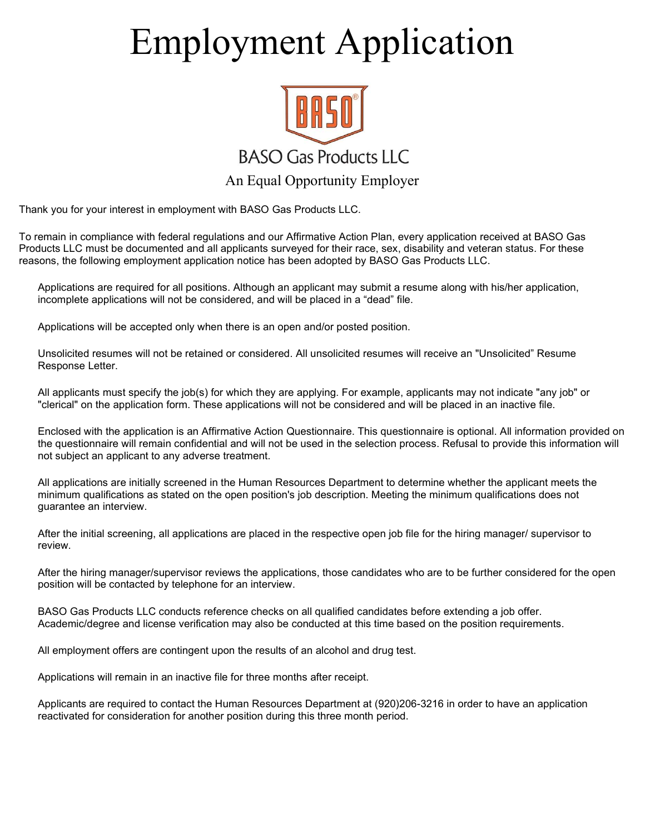# Employment Application



Thank you for your interest in employment with BASO Gas Products LLC.

To remain in compliance with federal regulations and our Affirmative Action Plan, every application received at BASO Gas Products LLC must be documented and all applicants surveyed for their race, sex, disability and veteran status. For these reasons, the following employment application notice has been adopted by BASO Gas Products LLC.

Applications are required for all positions. Although an applicant may submit a resume along with his/her application, incomplete applications will not be considered, and will be placed in a "dead" file.

Applications will be accepted only when there is an open and/or posted position.

Unsolicited resumes will not be retained or considered. All unsolicited resumes will receive an "Unsolicited" Resume Response Letter.

All applicants must specify the job(s) for which they are applying. For example, applicants may not indicate "any job" or "clerical" on the application form. These applications will not be considered and will be placed in an inactive file.

Enclosed with the application is an Affirmative Action Questionnaire. This questionnaire is optional. All information provided on the questionnaire will remain confidential and will not be used in the selection process. Refusal to provide this information will not subject an applicant to any adverse treatment.

All applications are initially screened in the Human Resources Department to determine whether the applicant meets the minimum qualifications as stated on the open position's job description. Meeting the minimum qualifications does not guarantee an interview.

After the initial screening, all applications are placed in the respective open job file for the hiring manager/ supervisor to review.

After the hiring manager/supervisor reviews the applications, those candidates who are to be further considered for the open position will be contacted by telephone for an interview.

BASO Gas Products LLC conducts reference checks on all qualified candidates before extending a job offer. Academic/degree and license verification may also be conducted at this time based on the position requirements.

All employment offers are contingent upon the results of an alcohol and drug test.

Applications will remain in an inactive file for three months after receipt.

Applicants are required to contact the Human Resources Department at (920)206-3216 in order to have an application reactivated for consideration for another position during this three month period.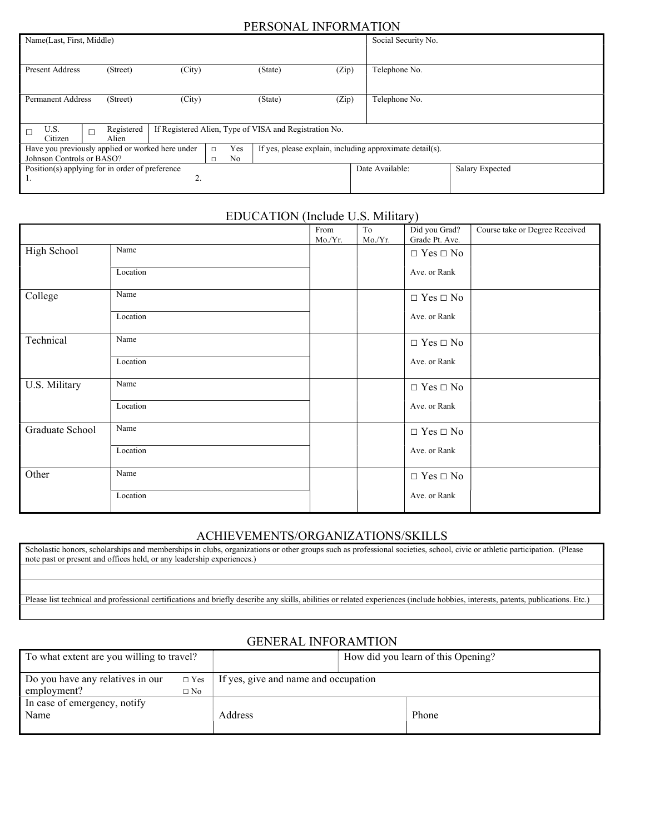### PERSONAL INFORMATION

| Name(Last, First, Middle)                                                     |                     |                                    |     |                                                          |       | Social Security No. |                 |
|-------------------------------------------------------------------------------|---------------------|------------------------------------|-----|----------------------------------------------------------|-------|---------------------|-----------------|
| <b>Present Address</b>                                                        | (Street)            | (City)                             |     | (State)                                                  | (Zip) | Telephone No.       |                 |
| <b>Permanent Address</b>                                                      | (Street)            | (City)                             |     | (State)                                                  | (Zip) | Telephone No.       |                 |
| U.S.<br>Citizen                                                               | Registered<br>Alien |                                    |     | If Registered Alien, Type of VISA and Registration No.   |       |                     |                 |
| Have you previously applied or worked here under<br>Johnson Controls or BASO? |                     | $\Box$<br>N <sub>o</sub><br>$\Box$ | Yes | If yes, please explain, including approximate detail(s). |       |                     |                 |
| Position(s) applying for in order of preference<br>ı.                         |                     | ۷.                                 |     |                                                          |       | Date Available:     | Salary Expected |

# EDUCATION (Include U.S. Military)

|                 |          | From<br>Mo./Yr. | To<br>Mo./Yr. | Did you Grad?<br>Grade Pt. Ave. | Course take or Degree Received |
|-----------------|----------|-----------------|---------------|---------------------------------|--------------------------------|
| High School     | Name     |                 |               | $\Box$ Yes $\Box$ No            |                                |
|                 | Location |                 |               | Ave. or Rank                    |                                |
| College         | Name     |                 |               | $\Box$ Yes $\Box$ No            |                                |
|                 | Location |                 |               | Ave. or Rank                    |                                |
| Technical       | Name     |                 |               | $\Box$ Yes $\Box$ No            |                                |
|                 | Location |                 |               | Ave. or Rank                    |                                |
| U.S. Military   | Name     |                 |               | $\Box$ Yes $\Box$ No            |                                |
|                 | Location |                 |               | Ave. or Rank                    |                                |
| Graduate School | Name     |                 |               | $\Box$ Yes $\Box$ No            |                                |
|                 | Location |                 |               | Ave. or Rank                    |                                |
| Other           | Name     |                 |               | $\Box$ Yes $\Box$ No            |                                |
|                 | Location |                 |               | Ave. or Rank                    |                                |

## ACHIEVEMENTS/ORGANIZATIONS/SKILLS

| Scholastic honors, scholarships and memberships in clubs, organizations or other groups such as professional societies, school, civic or athletic participation. (Please<br>note past or present and offices held, or any leadership experiences.) |
|----------------------------------------------------------------------------------------------------------------------------------------------------------------------------------------------------------------------------------------------------|
|                                                                                                                                                                                                                                                    |
|                                                                                                                                                                                                                                                    |
| Please list technical and professional certifications and briefly describe any skills, abilities or related experiences (include hobbies, interests, patents, publications. Etc.)                                                                  |
|                                                                                                                                                                                                                                                    |

# GENERAL INFORAMTION

| To what extent are you willing to travel? |            | How did you learn of this Opening?   |  |       |
|-------------------------------------------|------------|--------------------------------------|--|-------|
| Do you have any relatives in our          | $\Box$ Yes | If yes, give and name and occupation |  |       |
| employment?                               | $\Box$ No  |                                      |  |       |
| In case of emergency, notify              |            |                                      |  |       |
| Name                                      |            | Address                              |  | Phone |
|                                           |            |                                      |  |       |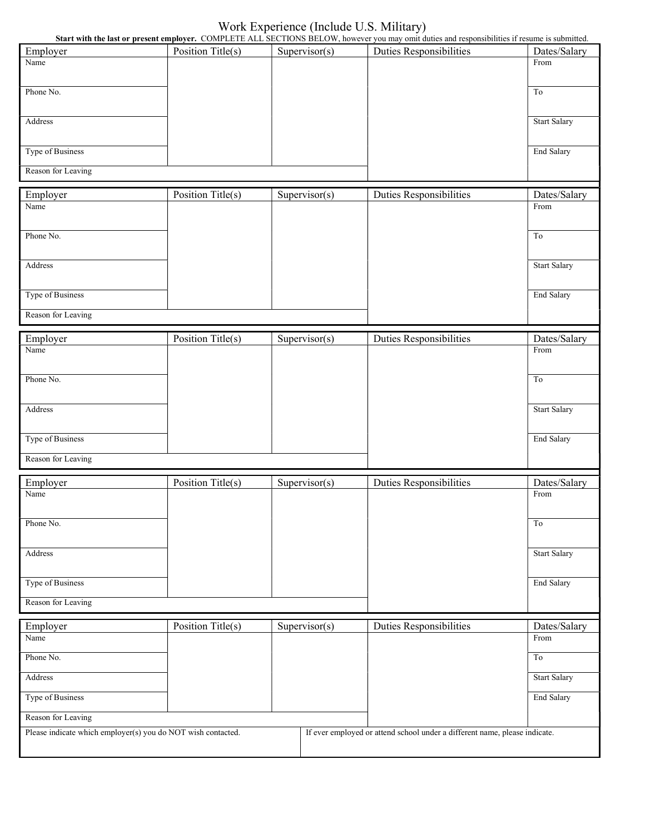# Work Experience (Include U.S. Military)

|                                                              |                   |               | Start with the last or present employer. COMPLETE ALL SECTIONS BELOW, however you may omit duties and responsibilities if resume is submitted. |                     |
|--------------------------------------------------------------|-------------------|---------------|------------------------------------------------------------------------------------------------------------------------------------------------|---------------------|
| Employer                                                     | Position Title(s) | Supervisor(s) | <b>Duties Responsibilities</b>                                                                                                                 | Dates/Salary        |
| Name                                                         |                   |               |                                                                                                                                                | From                |
|                                                              |                   |               |                                                                                                                                                |                     |
| Phone No.                                                    |                   |               |                                                                                                                                                | To                  |
|                                                              |                   |               |                                                                                                                                                |                     |
| Address                                                      |                   |               |                                                                                                                                                | <b>Start Salary</b> |
|                                                              |                   |               |                                                                                                                                                |                     |
|                                                              |                   |               |                                                                                                                                                |                     |
| Type of Business                                             |                   |               |                                                                                                                                                | End Salary          |
| Reason for Leaving                                           |                   |               |                                                                                                                                                |                     |
|                                                              |                   |               |                                                                                                                                                |                     |
| Employer                                                     | Position Title(s) | Supervisor(s) | <b>Duties Responsibilities</b>                                                                                                                 | Dates/Salary        |
| Name                                                         |                   |               |                                                                                                                                                | From                |
|                                                              |                   |               |                                                                                                                                                |                     |
| Phone No.                                                    |                   |               |                                                                                                                                                | To                  |
|                                                              |                   |               |                                                                                                                                                |                     |
|                                                              |                   |               |                                                                                                                                                |                     |
| Address                                                      |                   |               |                                                                                                                                                | <b>Start Salary</b> |
|                                                              |                   |               |                                                                                                                                                |                     |
| Type of Business                                             |                   |               |                                                                                                                                                | End Salary          |
|                                                              |                   |               |                                                                                                                                                |                     |
| Reason for Leaving                                           |                   |               |                                                                                                                                                |                     |
|                                                              |                   |               |                                                                                                                                                |                     |
| Employer                                                     | Position Title(s) | Supervisor(s) | <b>Duties Responsibilities</b>                                                                                                                 | Dates/Salary        |
| Name                                                         |                   |               |                                                                                                                                                | From                |
|                                                              |                   |               |                                                                                                                                                |                     |
| Phone No.                                                    |                   |               |                                                                                                                                                | To                  |
|                                                              |                   |               |                                                                                                                                                |                     |
| Address                                                      |                   |               |                                                                                                                                                | <b>Start Salary</b> |
|                                                              |                   |               |                                                                                                                                                |                     |
|                                                              |                   |               |                                                                                                                                                |                     |
| Type of Business                                             |                   |               |                                                                                                                                                | End Salary          |
| Reason for Leaving                                           |                   |               |                                                                                                                                                |                     |
|                                                              |                   |               |                                                                                                                                                |                     |
| Employer                                                     | Position Title(s) | Supervisor(s) | Duties Responsibilities                                                                                                                        | Dates/Salary        |
| Name                                                         |                   |               |                                                                                                                                                | From                |
|                                                              |                   |               |                                                                                                                                                |                     |
|                                                              |                   |               |                                                                                                                                                |                     |
| Phone No.                                                    |                   |               |                                                                                                                                                | To                  |
|                                                              |                   |               |                                                                                                                                                |                     |
| Address                                                      |                   |               |                                                                                                                                                | <b>Start Salary</b> |
|                                                              |                   |               |                                                                                                                                                |                     |
| Type of Business                                             |                   |               |                                                                                                                                                | End Salary          |
|                                                              |                   |               |                                                                                                                                                |                     |
| Reason for Leaving                                           |                   |               |                                                                                                                                                |                     |
|                                                              |                   |               |                                                                                                                                                |                     |
| Employer                                                     | Position Title(s) | Supervisor(s) | <b>Duties Responsibilities</b>                                                                                                                 | Dates/Salary        |
| Name                                                         |                   |               |                                                                                                                                                | From                |
| Phone No.                                                    |                   |               |                                                                                                                                                | To                  |
|                                                              |                   |               |                                                                                                                                                |                     |
| Address                                                      |                   |               |                                                                                                                                                | <b>Start Salary</b> |
|                                                              |                   |               |                                                                                                                                                |                     |
| Type of Business                                             |                   |               |                                                                                                                                                | End Salary          |
| Reason for Leaving                                           |                   |               |                                                                                                                                                |                     |
| Please indicate which employer(s) you do NOT wish contacted. |                   |               | If ever employed or attend school under a different name, please indicate.                                                                     |                     |
|                                                              |                   |               |                                                                                                                                                |                     |
|                                                              |                   |               |                                                                                                                                                |                     |